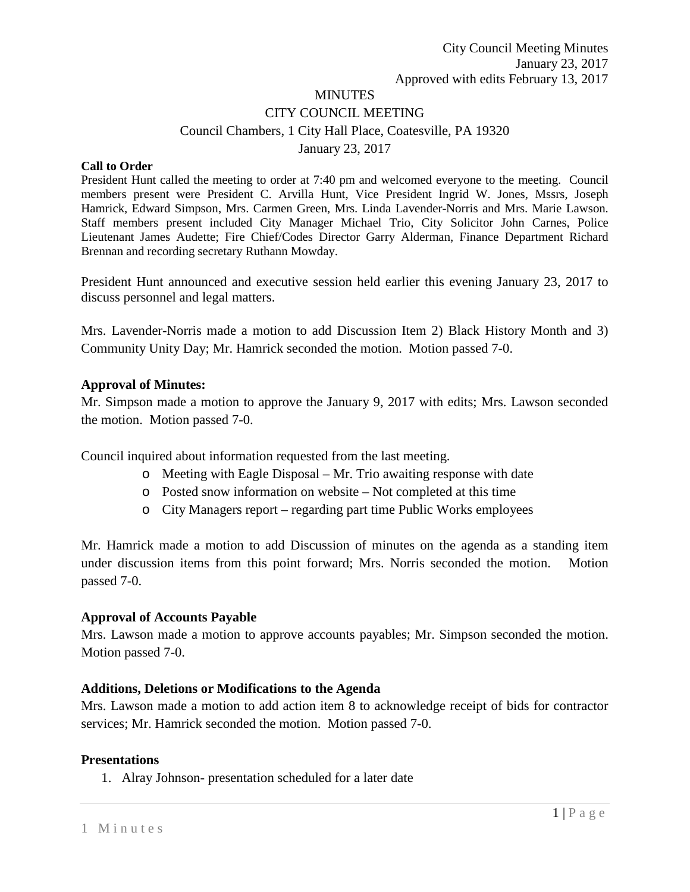# **MINUTES** CITY COUNCIL MEETING Council Chambers, 1 City Hall Place, Coatesville, PA 19320 January 23, 2017

#### **Call to Order**

President Hunt called the meeting to order at 7:40 pm and welcomed everyone to the meeting. Council members present were President C. Arvilla Hunt, Vice President Ingrid W. Jones, Mssrs, Joseph Hamrick, Edward Simpson, Mrs. Carmen Green, Mrs. Linda Lavender-Norris and Mrs. Marie Lawson. Staff members present included City Manager Michael Trio, City Solicitor John Carnes, Police Lieutenant James Audette; Fire Chief/Codes Director Garry Alderman, Finance Department Richard Brennan and recording secretary Ruthann Mowday.

President Hunt announced and executive session held earlier this evening January 23, 2017 to discuss personnel and legal matters.

Mrs. Lavender-Norris made a motion to add Discussion Item 2) Black History Month and 3) Community Unity Day; Mr. Hamrick seconded the motion. Motion passed 7-0.

#### **Approval of Minutes:**

Mr. Simpson made a motion to approve the January 9, 2017 with edits; Mrs. Lawson seconded the motion. Motion passed 7-0.

Council inquired about information requested from the last meeting.

- o Meeting with Eagle Disposal Mr. Trio awaiting response with date
- o Posted snow information on website Not completed at this time
- o City Managers report regarding part time Public Works employees

Mr. Hamrick made a motion to add Discussion of minutes on the agenda as a standing item under discussion items from this point forward; Mrs. Norris seconded the motion. Motion passed 7-0.

#### **Approval of Accounts Payable**

Mrs. Lawson made a motion to approve accounts payables; Mr. Simpson seconded the motion. Motion passed 7-0.

#### **Additions, Deletions or Modifications to the Agenda**

Mrs. Lawson made a motion to add action item 8 to acknowledge receipt of bids for contractor services; Mr. Hamrick seconded the motion. Motion passed 7-0.

#### **Presentations**

1. Alray Johnson- presentation scheduled for a later date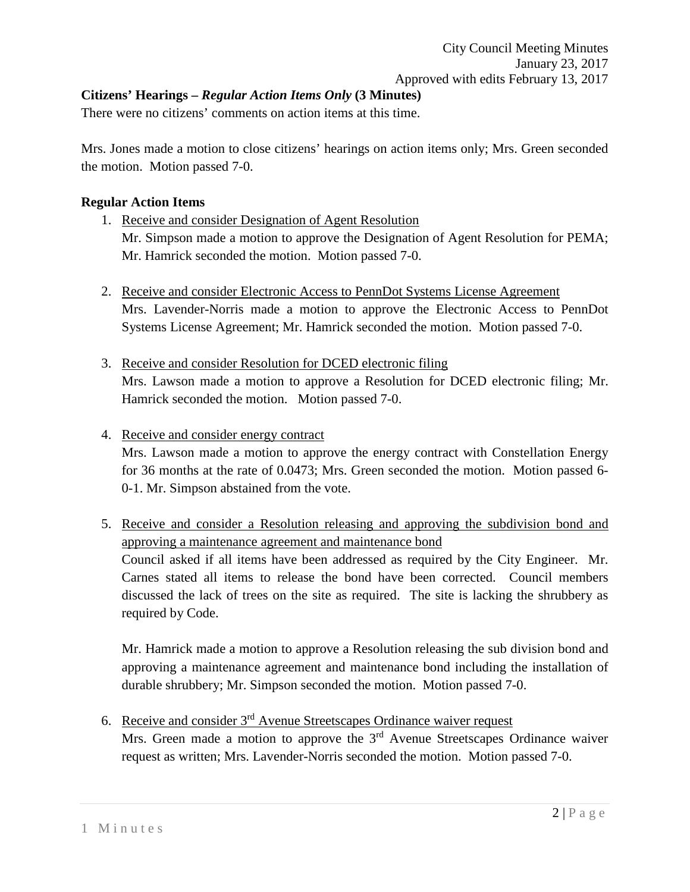# **Citizens' Hearings –** *Regular Action Items Only* **(3 Minutes)**

There were no citizens' comments on action items at this time.

Mrs. Jones made a motion to close citizens' hearings on action items only; Mrs. Green seconded the motion. Motion passed 7-0.

### **Regular Action Items**

- 1. Receive and consider Designation of Agent Resolution Mr. Simpson made a motion to approve the Designation of Agent Resolution for PEMA; Mr. Hamrick seconded the motion. Motion passed 7-0.
- 2. Receive and consider Electronic Access to PennDot Systems License Agreement Mrs. Lavender-Norris made a motion to approve the Electronic Access to PennDot Systems License Agreement; Mr. Hamrick seconded the motion. Motion passed 7-0.
- 3. Receive and consider Resolution for DCED electronic filing Mrs. Lawson made a motion to approve a Resolution for DCED electronic filing; Mr. Hamrick seconded the motion. Motion passed 7-0.

### 4. Receive and consider energy contract

Mrs. Lawson made a motion to approve the energy contract with Constellation Energy for 36 months at the rate of 0.0473; Mrs. Green seconded the motion. Motion passed 6- 0-1. Mr. Simpson abstained from the vote.

5. Receive and consider a Resolution releasing and approving the subdivision bond and approving a maintenance agreement and maintenance bond Council asked if all items have been addressed as required by the City Engineer. Mr. Carnes stated all items to release the bond have been corrected. Council members discussed the lack of trees on the site as required. The site is lacking the shrubbery as required by Code.

Mr. Hamrick made a motion to approve a Resolution releasing the sub division bond and approving a maintenance agreement and maintenance bond including the installation of durable shrubbery; Mr. Simpson seconded the motion. Motion passed 7-0.

6. Receive and consider  $3<sup>rd</sup>$  Avenue Streetscapes Ordinance waiver request Mrs. Green made a motion to approve the 3<sup>rd</sup> Avenue Streetscapes Ordinance waiver request as written; Mrs. Lavender-Norris seconded the motion. Motion passed 7-0.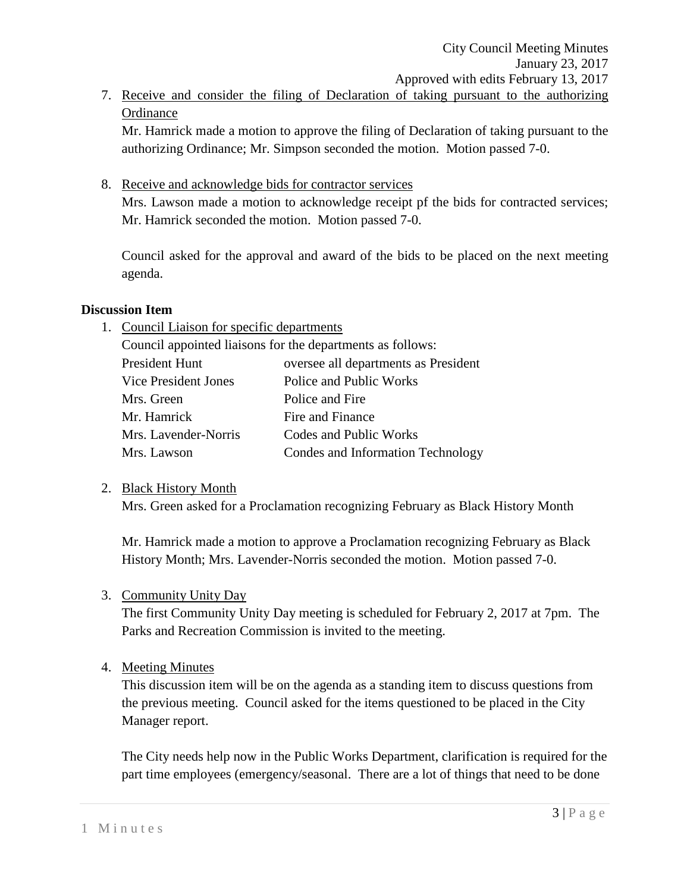7. Receive and consider the filing of Declaration of taking pursuant to the authorizing **Ordinance** 

Mr. Hamrick made a motion to approve the filing of Declaration of taking pursuant to the authorizing Ordinance; Mr. Simpson seconded the motion. Motion passed 7-0.

8. Receive and acknowledge bids for contractor services

Mrs. Lawson made a motion to acknowledge receipt pf the bids for contracted services; Mr. Hamrick seconded the motion. Motion passed 7-0.

Council asked for the approval and award of the bids to be placed on the next meeting agenda.

# **Discussion Item**

1. Council Liaison for specific departments

Council appointed liaisons for the departments as follows: President Hunt oversee all departments as President

| Vice President Jones | Police and Public Works           |
|----------------------|-----------------------------------|
| Mrs. Green           | Police and Fire                   |
| Mr. Hamrick          | Fire and Finance                  |
| Mrs. Lavender-Norris | Codes and Public Works            |
| Mrs. Lawson          | Condes and Information Technology |

# 2. Black History Month

Mrs. Green asked for a Proclamation recognizing February as Black History Month

Mr. Hamrick made a motion to approve a Proclamation recognizing February as Black History Month; Mrs. Lavender-Norris seconded the motion. Motion passed 7-0.

# 3. Community Unity Day

The first Community Unity Day meeting is scheduled for February 2, 2017 at 7pm. The Parks and Recreation Commission is invited to the meeting.

# 4. Meeting Minutes

This discussion item will be on the agenda as a standing item to discuss questions from the previous meeting. Council asked for the items questioned to be placed in the City Manager report.

The City needs help now in the Public Works Department, clarification is required for the part time employees (emergency/seasonal. There are a lot of things that need to be done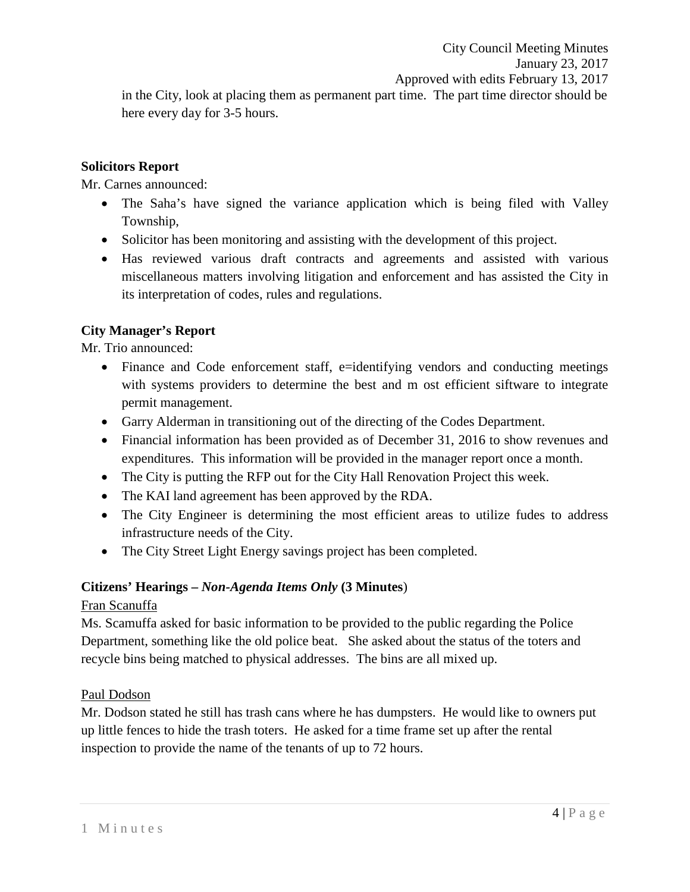in the City, look at placing them as permanent part time. The part time director should be here every day for 3-5 hours.

### **Solicitors Report**

Mr. Carnes announced:

- The Saha's have signed the variance application which is being filed with Valley Township,
- Solicitor has been monitoring and assisting with the development of this project.
- Has reviewed various draft contracts and agreements and assisted with various miscellaneous matters involving litigation and enforcement and has assisted the City in its interpretation of codes, rules and regulations.

# **City Manager's Report**

Mr. Trio announced:

- Finance and Code enforcement staff, e=identifying vendors and conducting meetings with systems providers to determine the best and m ost efficient siftware to integrate permit management.
- Garry Alderman in transitioning out of the directing of the Codes Department.
- Financial information has been provided as of December 31, 2016 to show revenues and expenditures. This information will be provided in the manager report once a month.
- The City is putting the RFP out for the City Hall Renovation Project this week.
- The KAI land agreement has been approved by the RDA.
- The City Engineer is determining the most efficient areas to utilize fudes to address infrastructure needs of the City.
- The City Street Light Energy savings project has been completed.

# **Citizens' Hearings –** *Non-Agenda Items Only* **(3 Minutes**)

# Fran Scanuffa

Ms. Scamuffa asked for basic information to be provided to the public regarding the Police Department, something like the old police beat. She asked about the status of the toters and recycle bins being matched to physical addresses. The bins are all mixed up.

# Paul Dodson

Mr. Dodson stated he still has trash cans where he has dumpsters. He would like to owners put up little fences to hide the trash toters. He asked for a time frame set up after the rental inspection to provide the name of the tenants of up to 72 hours.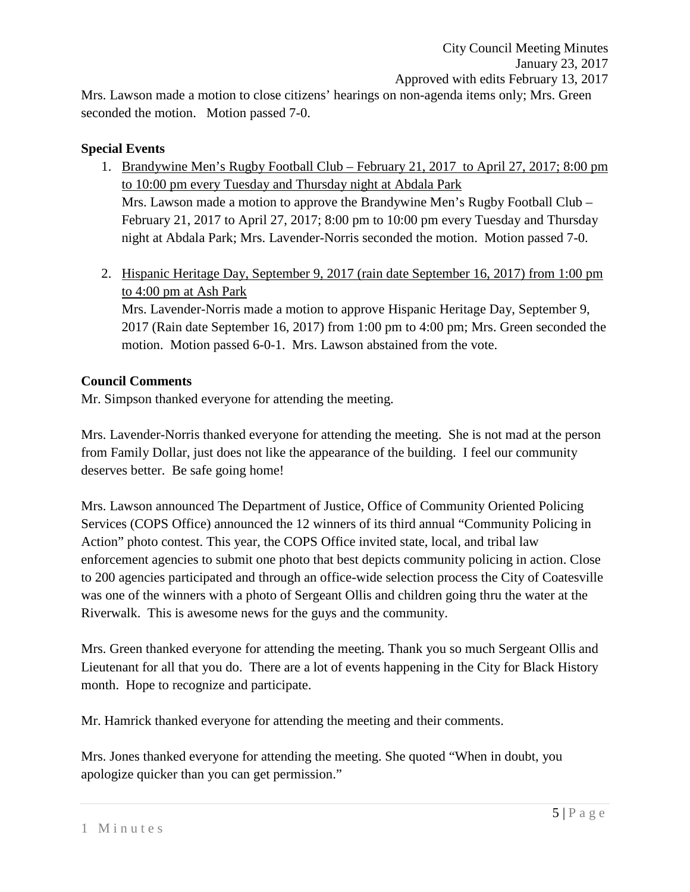Mrs. Lawson made a motion to close citizens' hearings on non-agenda items only; Mrs. Green seconded the motion. Motion passed 7-0.

### **Special Events**

- 1. Brandywine Men's Rugby Football Club February 21, 2017 to April 27, 2017; 8:00 pm to 10:00 pm every Tuesday and Thursday night at Abdala Park Mrs. Lawson made a motion to approve the Brandywine Men's Rugby Football Club – February 21, 2017 to April 27, 2017; 8:00 pm to 10:00 pm every Tuesday and Thursday night at Abdala Park; Mrs. Lavender-Norris seconded the motion. Motion passed 7-0.
- 2. Hispanic Heritage Day, September 9, 2017 (rain date September 16, 2017) from 1:00 pm to 4:00 pm at Ash Park

Mrs. Lavender-Norris made a motion to approve Hispanic Heritage Day, September 9, 2017 (Rain date September 16, 2017) from 1:00 pm to 4:00 pm; Mrs. Green seconded the motion. Motion passed 6-0-1. Mrs. Lawson abstained from the vote.

# **Council Comments**

Mr. Simpson thanked everyone for attending the meeting.

Mrs. Lavender-Norris thanked everyone for attending the meeting. She is not mad at the person from Family Dollar, just does not like the appearance of the building. I feel our community deserves better. Be safe going home!

Mrs. Lawson announced The Department of Justice, Office of Community Oriented Policing Services (COPS Office) announced the 12 winners of its third annual "Community Policing in Action" photo contest. This year, the COPS Office invited state, local, and tribal law enforcement agencies to submit one photo that best depicts community policing in action. Close to 200 agencies participated and through an office-wide selection process the City of Coatesville was one of the winners with a photo of Sergeant Ollis and children going thru the water at the Riverwalk. This is awesome news for the guys and the community.

Mrs. Green thanked everyone for attending the meeting. Thank you so much Sergeant Ollis and Lieutenant for all that you do. There are a lot of events happening in the City for Black History month. Hope to recognize and participate.

Mr. Hamrick thanked everyone for attending the meeting and their comments.

Mrs. Jones thanked everyone for attending the meeting. She quoted "When in doubt, you apologize quicker than you can get permission."